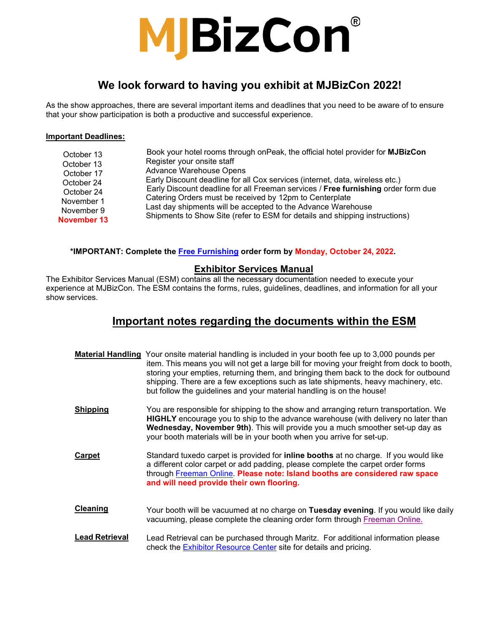# **MBizCon**

## **We look forward to having you exhibit at MJBizCon 2022!**

As the show approaches, there are several important items and deadlines that you need to be aware of to ensure that your show participation is both a productive and successful experience.

#### **Important Deadlines:**

| October 13  | Book your hotel rooms through onPeak, the official hotel provider for <b>MJBizCon</b> |
|-------------|---------------------------------------------------------------------------------------|
| October 13  | Register your onsite staff                                                            |
| October 17  | <b>Advance Warehouse Opens</b>                                                        |
| October 24  | Early Discount deadline for all Cox services (internet, data, wireless etc.)          |
| October 24  | Early Discount deadline for all Freeman services / Free furnishing order form due     |
| November 1  | Catering Orders must be received by 12pm to Centerplate                               |
| November 9  | Last day shipments will be accepted to the Advance Warehouse                          |
| November 13 | Shipments to Show Site (refer to ESM for details and shipping instructions)           |

#### **\*IMPORTANT: Complete the [Free Furnishing](https://staging-mjbizconference.kinsta.cloud/wp-content/uploads/2022/05/Free-Furnishing-Form.pdf) order form by Monday, October 24, 2022.**

## **Exhibitor Services Manual**

The Exhibitor Services Manual (ESM) contains all the necessary documentation needed to execute your experience at MJBizCon. The ESM contains the forms, rules, guidelines, deadlines, and information for all your show services.

# **Important notes regarding the documents within the ESM**

|                       | Material Handling Your onsite material handling is included in your booth fee up to 3,000 pounds per<br>item. This means you will not get a large bill for moving your freight from dock to booth,<br>storing your empties, returning them, and bringing them back to the dock for outbound<br>shipping. There are a few exceptions such as late shipments, heavy machinery, etc.<br>but follow the guidelines and your material handling is on the house! |
|-----------------------|------------------------------------------------------------------------------------------------------------------------------------------------------------------------------------------------------------------------------------------------------------------------------------------------------------------------------------------------------------------------------------------------------------------------------------------------------------|
| <b>Shipping</b>       | You are responsible for shipping to the show and arranging return transportation. We<br><b>HIGHLY</b> encourage you to ship to the advance warehouse (with delivery no later than<br>Wednesday, November 9th). This will provide you a much smoother set-up day as<br>your booth materials will be in your booth when you arrive for set-up.                                                                                                               |
| <b>Carpet</b>         | Standard tuxedo carpet is provided for <b>inline booths</b> at no charge. If you would like<br>a different color carpet or add padding, please complete the carpet order forms<br>through Freeman Online. Please note: Island booths are considered raw space<br>and will need provide their own flooring.                                                                                                                                                 |
| <b>Cleaning</b>       | Your booth will be vacuumed at no charge on Tuesday evening. If you would like daily<br>vacuuming, please complete the cleaning order form through Freeman Online.                                                                                                                                                                                                                                                                                         |
| <b>Lead Retrieval</b> | Lead Retrieval can be purchased through Maritz. For additional information please<br>check the Exhibitor Resource Center site for details and pricing.                                                                                                                                                                                                                                                                                                     |